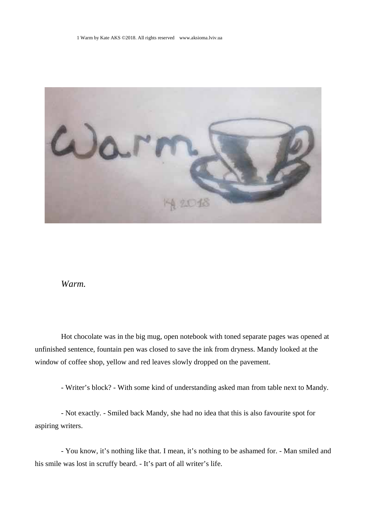

## *Warm.*

Hot chocolate was in the big mug, open notebook with toned separate pages was opened at unfinished sentence, fountain pen was closed to save the ink from dryness. Mandy looked at the window of coffee shop, yellow and red leaves slowly dropped on the pavement.

- Writer's block? - With some kind of understanding asked man from table next to Mandy.

- Not exactly. - Smiled back Mandy, she had no idea that this is also favourite spot for aspiring writers.

- You know, it's nothing like that. I mean, it's nothing to be ashamed for. - Man smiled and his smile was lost in scruffy beard. - It's part of all writer's life.